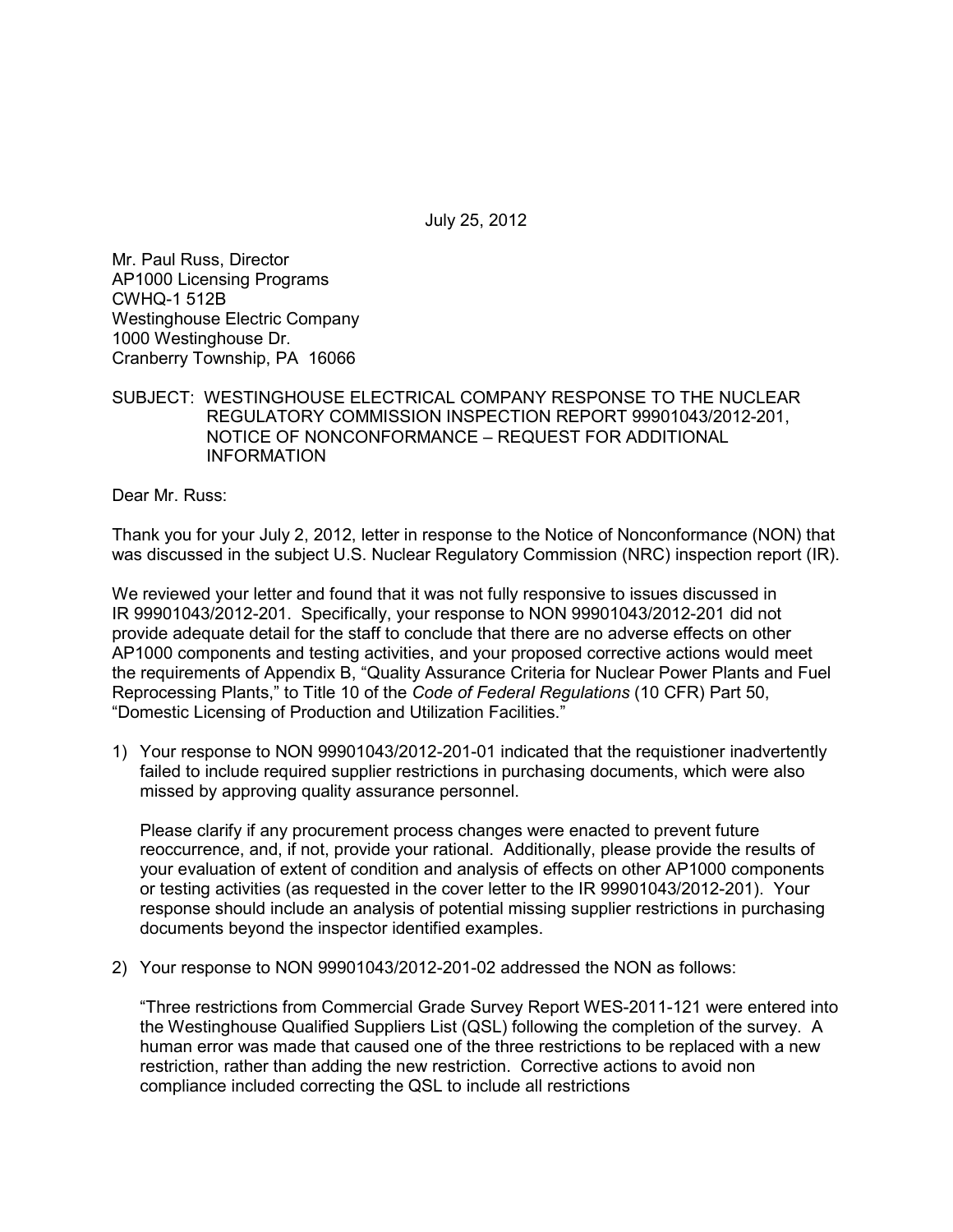July 25, 2012

Mr. Paul Russ, Director AP1000 Licensing Programs CWHQ-1 512B Westinghouse Electric Company 1000 Westinghouse Dr. Cranberry Township, PA 16066

SUBJECT: WESTINGHOUSE ELECTRICAL COMPANY RESPONSE TO THE NUCLEAR REGULATORY COMMISSION INSPECTION REPORT 99901043/2012-201, NOTICE OF NONCONFORMANCE – REQUEST FOR ADDITIONAL INFORMATION

Dear Mr. Russ:

Thank you for your July 2, 2012, letter in response to the Notice of Nonconformance (NON) that was discussed in the subject U.S. Nuclear Regulatory Commission (NRC) inspection report (IR).

We reviewed your letter and found that it was not fully responsive to issues discussed in IR 99901043/2012-201. Specifically, your response to NON 99901043/2012-201 did not provide adequate detail for the staff to conclude that there are no adverse effects on other AP1000 components and testing activities, and your proposed corrective actions would meet the requirements of Appendix B, "Quality Assurance Criteria for Nuclear Power Plants and Fuel Reprocessing Plants," to Title 10 of the *Code of Federal Regulations* (10 CFR) Part 50, "Domestic Licensing of Production and Utilization Facilities."

1) Your response to NON 99901043/2012-201-01 indicated that the requistioner inadvertently failed to include required supplier restrictions in purchasing documents, which were also missed by approving quality assurance personnel.

Please clarify if any procurement process changes were enacted to prevent future reoccurrence, and, if not, provide your rational. Additionally, please provide the results of your evaluation of extent of condition and analysis of effects on other AP1000 components or testing activities (as requested in the cover letter to the IR 99901043/2012-201). Your response should include an analysis of potential missing supplier restrictions in purchasing documents beyond the inspector identified examples.

2) Your response to NON 99901043/2012-201-02 addressed the NON as follows:

"Three restrictions from Commercial Grade Survey Report WES-2011-121 were entered into the Westinghouse Qualified Suppliers List (QSL) following the completion of the survey. A human error was made that caused one of the three restrictions to be replaced with a new restriction, rather than adding the new restriction. Corrective actions to avoid non compliance included correcting the QSL to include all restrictions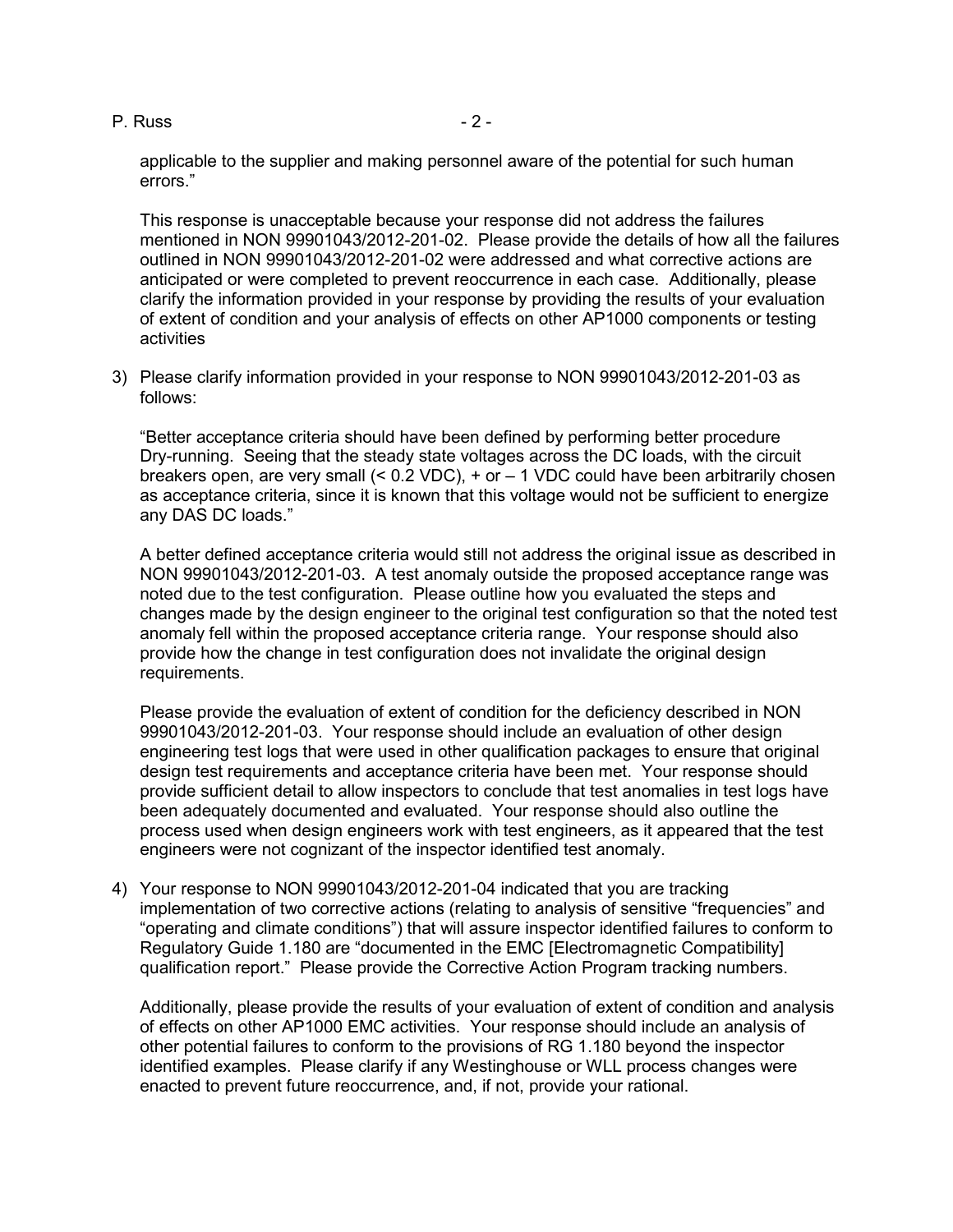P. Russ - 2 -

applicable to the supplier and making personnel aware of the potential for such human errors."

This response is unacceptable because your response did not address the failures mentioned in NON 99901043/2012-201-02. Please provide the details of how all the failures outlined in NON 99901043/2012-201-02 were addressed and what corrective actions are anticipated or were completed to prevent reoccurrence in each case. Additionally, please clarify the information provided in your response by providing the results of your evaluation of extent of condition and your analysis of effects on other AP1000 components or testing activities

3) Please clarify information provided in your response to NON 99901043/2012-201-03 as follows:

"Better acceptance criteria should have been defined by performing better procedure Dry-running. Seeing that the steady state voltages across the DC loads, with the circuit breakers open, are very small (< 0.2 VDC), + or – 1 VDC could have been arbitrarily chosen as acceptance criteria, since it is known that this voltage would not be sufficient to energize any DAS DC loads."

A better defined acceptance criteria would still not address the original issue as described in NON 99901043/2012-201-03. A test anomaly outside the proposed acceptance range was noted due to the test configuration. Please outline how you evaluated the steps and changes made by the design engineer to the original test configuration so that the noted test anomaly fell within the proposed acceptance criteria range. Your response should also provide how the change in test configuration does not invalidate the original design requirements.

Please provide the evaluation of extent of condition for the deficiency described in NON 99901043/2012-201-03. Your response should include an evaluation of other design engineering test logs that were used in other qualification packages to ensure that original design test requirements and acceptance criteria have been met. Your response should provide sufficient detail to allow inspectors to conclude that test anomalies in test logs have been adequately documented and evaluated. Your response should also outline the process used when design engineers work with test engineers, as it appeared that the test engineers were not cognizant of the inspector identified test anomaly.

4) Your response to NON 99901043/2012-201-04 indicated that you are tracking implementation of two corrective actions (relating to analysis of sensitive "frequencies" and "operating and climate conditions") that will assure inspector identified failures to conform to Regulatory Guide 1.180 are "documented in the EMC [Electromagnetic Compatibility] qualification report." Please provide the Corrective Action Program tracking numbers.

Additionally, please provide the results of your evaluation of extent of condition and analysis of effects on other AP1000 EMC activities. Your response should include an analysis of other potential failures to conform to the provisions of RG 1.180 beyond the inspector identified examples. Please clarify if any Westinghouse or WLL process changes were enacted to prevent future reoccurrence, and, if not, provide your rational.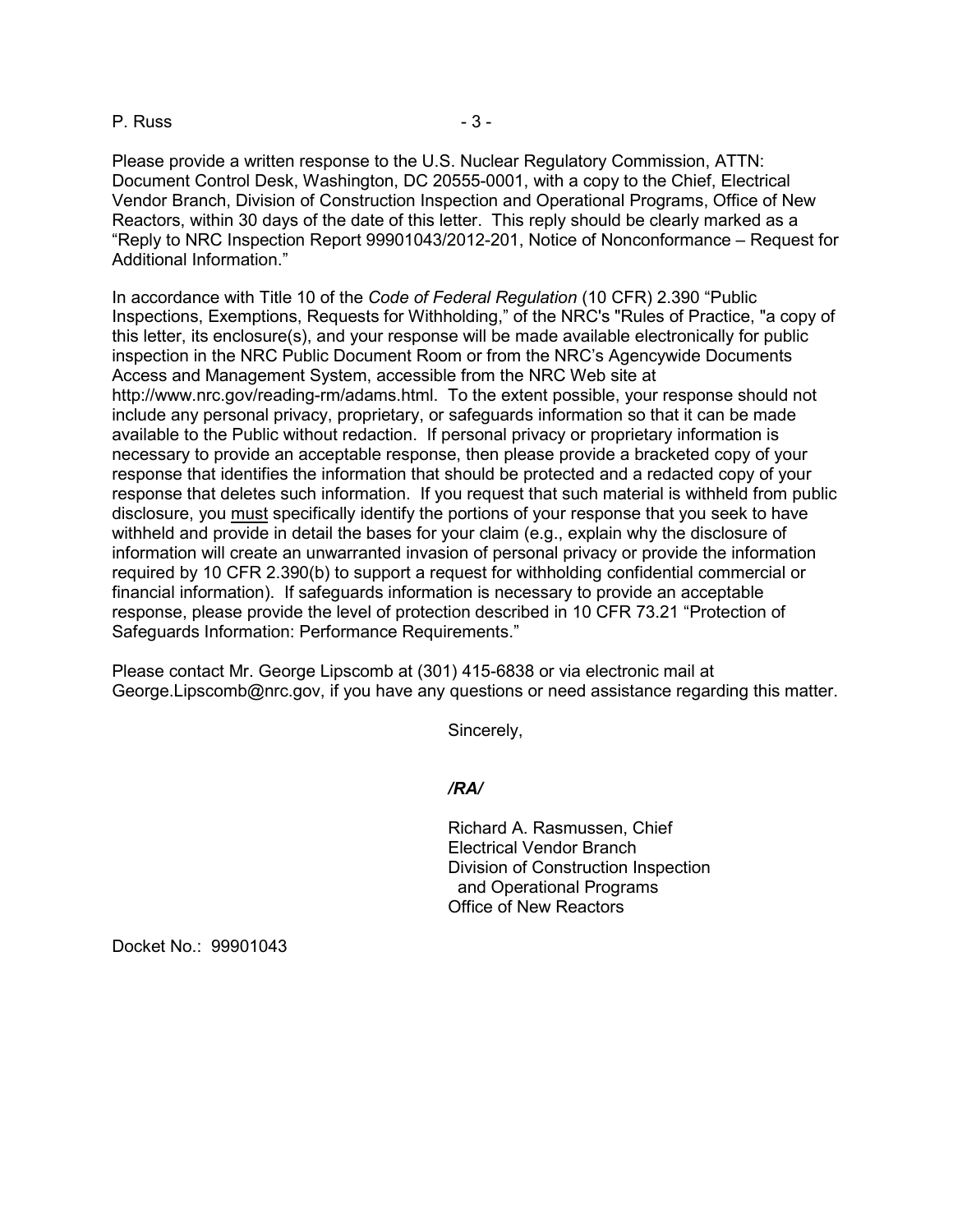## P. Russ - 3 -

Please provide a written response to the U.S. Nuclear Regulatory Commission, ATTN: Document Control Desk, Washington, DC 20555-0001, with a copy to the Chief, Electrical Vendor Branch, Division of Construction Inspection and Operational Programs, Office of New Reactors, within 30 days of the date of this letter. This reply should be clearly marked as a "Reply to NRC Inspection Report 99901043/2012-201, Notice of Nonconformance – Request for Additional Information."

In accordance with Title 10 of the *Code of Federal Regulation* (10 CFR) 2.390 "Public Inspections, Exemptions, Requests for Withholding," of the NRC's "Rules of Practice, "a copy of this letter, its enclosure(s), and your response will be made available electronically for public inspection in the NRC Public Document Room or from the NRC's Agencywide Documents Access and Management System, accessible from the NRC Web site at http://www.nrc.gov/reading-rm/adams.html. To the extent possible, your response should not include any personal privacy, proprietary, or safeguards information so that it can be made available to the Public without redaction. If personal privacy or proprietary information is necessary to provide an acceptable response, then please provide a bracketed copy of your response that identifies the information that should be protected and a redacted copy of your response that deletes such information. If you request that such material is withheld from public disclosure, you must specifically identify the portions of your response that you seek to have withheld and provide in detail the bases for your claim (e.g., explain why the disclosure of information will create an unwarranted invasion of personal privacy or provide the information required by 10 CFR 2.390(b) to support a request for withholding confidential commercial or financial information). If safeguards information is necessary to provide an acceptable response, please provide the level of protection described in 10 CFR 73.21 "Protection of Safeguards Information: Performance Requirements."

Please contact Mr. George Lipscomb at (301) 415-6838 or via electronic mail at George.Lipscomb@nrc.gov, if you have any questions or need assistance regarding this matter.

Sincerely,

## */RA/*

Richard A. Rasmussen, Chief Electrical Vendor Branch Division of Construction Inspection and Operational Programs Office of New Reactors

Docket No.: 99901043